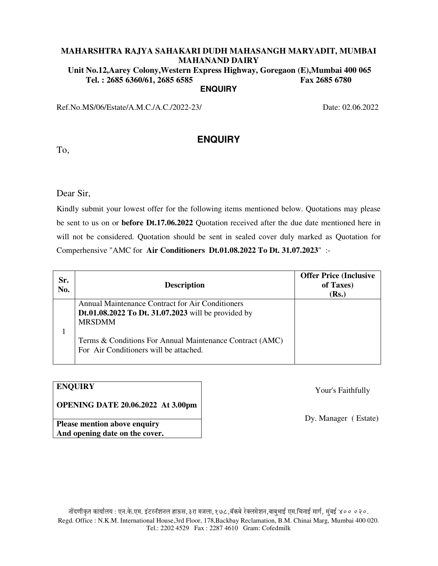**Unit No.12,Aarey Colony,Western Express Highway, Goregaon (E),Mumbai 400 065 Tel. : 2685 6360/61, 2685 6585 Fax 2685 6780 ENQUIRY** 

**ENQUIRY** 

Ref.No.MS/06/Estate/A.M.C./A.C./2022-23/ Date: 02.06.2022

To,

Dear Sir,

Kindly submit your lowest offer for the following items mentioned below. Quotations may please be sent to us on or **before Dt.17.06.2022** Quotation received after the due date mentioned here in will not be considered. Quotation should be sent in sealed cover duly marked as Quotation for Comperhensive "AMC for **Air Conditioners Dt.01.08.2022 To Dt. 31.07.2023**" :-

| Sr.<br>No. | <b>Description</b>                                                                                                       | <b>Offer Price (Inclusive</b><br>of Taxes)<br>(Rs.) |
|------------|--------------------------------------------------------------------------------------------------------------------------|-----------------------------------------------------|
|            | Annual Maintenance Contract for Air Conditioners<br>Dt.01.08.2022 To Dt. 31.07.2023 will be provided by<br><b>MRSDMM</b> |                                                     |
|            | Terms & Conditions For Annual Maintenance Contract (AMC)<br>For Air Conditioners will be attached.                       |                                                     |

# **ENQUIRY**

**OPENING DATE 20.06.2022 At 3.00pm** 

Your's Faithfully

Dy. Manager ( Estate)

**Please mention above enquiry And opening date on the cover.**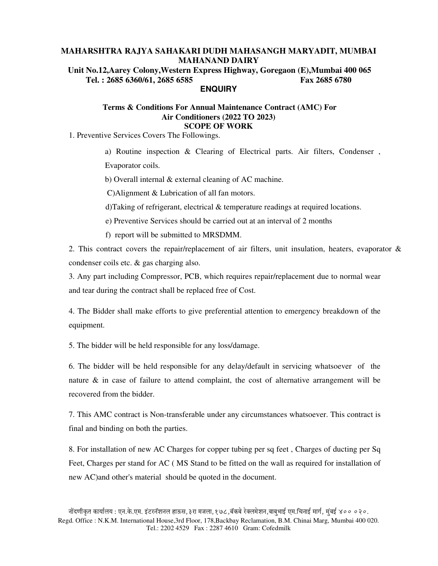**Unit No.12,Aarey Colony,Western Express Highway, Goregaon (E),Mumbai 400 065 Tel. : 2685 6360/61, 2685 6585 Fax 2685 6780 ENQUIRY** 

### **Terms & Conditions For Annual Maintenance Contract (AMC) For Air Conditioners (2022 TO 2023) SCOPE OF WORK**

1. Preventive Services Covers The Followings.

a) Routine inspection & Clearing of Electrical parts. Air filters, Condenser , Evaporator coils.

b) Overall internal & external cleaning of AC machine.

C)Alignment & Lubrication of all fan motors.

d)Taking of refrigerant, electrical & temperature readings at required locations.

e) Preventive Services should be carried out at an interval of 2 months

f) report will be submitted to MRSDMM.

2. This contract covers the repair/replacement of air filters, unit insulation, heaters, evaporator & condenser coils etc. & gas charging also.

3. Any part including Compressor, PCB, which requires repair/replacement due to normal wear and tear during the contract shall be replaced free of Cost.

4. The Bidder shall make efforts to give preferential attention to emergency breakdown of the equipment.

5. The bidder will be held responsible for any loss/damage.

6. The bidder will be held responsible for any delay/default in servicing whatsoever of the nature & in case of failure to attend complaint, the cost of alternative arrangement will be recovered from the bidder.

7. This AMC contract is Non-transferable under any circumstances whatsoever. This contract is final and binding on both the parties.

8. For installation of new AC Charges for copper tubing per sq feet , Charges of ducting per Sq Feet, Charges per stand for AC ( MS Stand to be fitted on the wall as required for installation of new AC)and other's material should be quoted in the document.

नोंदणीकृत कार्यालय : एन.के.एम. इंटरनॅशनल हाऊस, ३रा मजला, १७८,बॅकबे रेक्लमेशन,बाबुभाई एम.चिनाई मार्ग, मुंबई ४०० ०२०. Regd. Office : N.K.M. International House,3rd Floor, 178,Backbay Reclamation, B.M. Chinai Marg, Mumbai 400 020. Tel.: 2202 4529 Fax : 2287 4610 Gram: Cofedmilk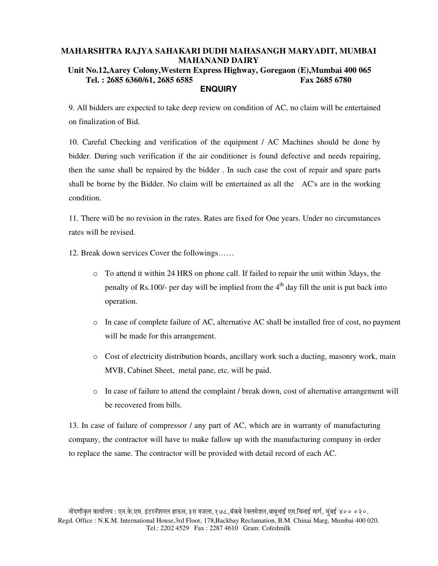# **MAHARSHTRA RAJYA SAHAKARI DUDH MAHASANGH MARYADIT, MUMBAI MAHANAND DAIRY Unit No.12,Aarey Colony,Western Express Highway, Goregaon (E),Mumbai 400 065 Tel. : 2685 6360/61, 2685 6585 Fax 2685 6780 ENQUIRY**

9. All bidders are expected to take deep review on condition of AC, no claim will be entertained on finalization of Bid.

10. Careful Checking and verification of the equipment / AC Machines should be done by bidder. During such verification if the air conditioner is found defective and needs repairing, then the same shall be repaired by the bidder . In such case the cost of repair and spare parts shall be borne by the Bidder. No claim will be entertained as all the AC's are in the working condition.

11. There will be no revision in the rates. Rates are fixed for One years. Under no circumstances rates will be revised.

12. Break down services Cover the followings……

- $\circ$  To attend it within 24 HRS on phone call. If failed to repair the unit within 3days, the penalty of Rs.100/- per day will be implied from the  $4<sup>th</sup>$  day fill the unit is put back into operation.
- o In case of complete failure of AC, alternative AC shall be installed free of cost, no payment will be made for this arrangement.
- o Cost of electricity distribution boards, ancillary work such a ducting, masonry work, main MVB, Cabinet Sheet, metal pane, etc. will be paid.
- $\circ$  In case of failure to attend the complaint / break down, cost of alternative arrangement will be recovered from bills.

13. In case of failure of compressor / any part of AC, which are in warranty of manufacturing company, the contractor will have to make fallow up with the manufacturing company in order to replace the same. The contractor will be provided with detail record of each AC.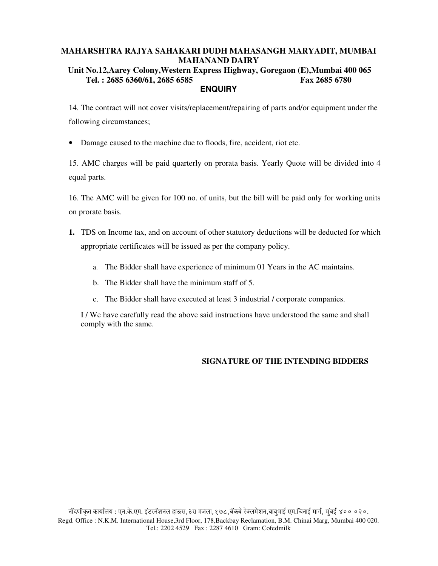### **Unit No.12,Aarey Colony,Western Express Highway, Goregaon (E),Mumbai 400 065 Tel. : 2685 6360/61, 2685 6585 Fax 2685 6780 ENQUIRY**

14. The contract will not cover visits/replacement/repairing of parts and/or equipment under the following circumstances;

• Damage caused to the machine due to floods, fire, accident, riot etc.

15. AMC charges will be paid quarterly on prorata basis. Yearly Quote will be divided into 4 equal parts.

16. The AMC will be given for 100 no. of units, but the bill will be paid only for working units on prorate basis.

- **1.** TDS on Income tax, and on account of other statutory deductions will be deducted for which appropriate certificates will be issued as per the company policy.
	- a. The Bidder shall have experience of minimum 01 Years in the AC maintains.
	- b. The Bidder shall have the minimum staff of 5.
	- c. The Bidder shall have executed at least 3 industrial / corporate companies.

I / We have carefully read the above said instructions have understood the same and shall comply with the same.

# **SIGNATURE OF THE INTENDING BIDDERS**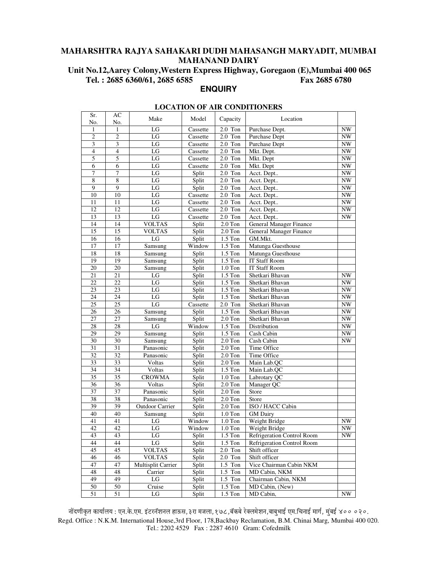**Unit No.12,Aarey Colony,Western Express Highway, Goregaon (E),Mumbai 400 065 Tel. : 2685 6360/61, 2685 6585 Fax 2685 6780 ENQUIRY** 

Sr. No.

#### **LOCATION OF AIR CONDITIONERS**  AC No. Make Model Capacity Location 1 1 LG Cassette 2.0 Ton Purchase Dept.<br>
2 2 LG Cassette 2.0 Ton Purchase Dept NW Cassette 2.0 Ton Purchase Dept NW<br>
Cassette 2.0 Ton Purchase Dept NW 3 3 3 LG Cassette 2.0 Ton Purchase Dept NW<br>4 4 LG Cassette 2.0 Ton Mkt. Dept. 4 4 LG Cassette 2.0 Ton Mkt. Dept. NW 5 5 LG LG Cassette 2.0 Ton Mkt. Dept NW 6 6 Cassette 2.0 Ton Mkt. Dept NW 7 7 1 LG Split 2.0 Ton Acct. Dept.. NW<br>
8 8 LG Split 2.0 Ton Acct. Dept.. NW 8 8 8 LG Split 2.0 Ton Acct. Dept.. NW<br>9 9 1G Split 2.0 Ton Acct. Dept.. NW 9 9 | LG | Split | 2.0 Ton | Acct. Dept.. | NW 10 10 LG Cassette 2.0 Ton Acct. Dept.. NW<br>11 11 LG Cassette 2.0 Ton Acct. Dept.. NW 11 | 11 | LG | Cassette 2.0 Ton | Acct. Dept.. NW 12 12 LG Cassette 2.0 Ton Acct. Dept.. 13 13 LG Cassette 2.0 Ton Acct. Dept.. NW 14 14 VOLTAS Split 2.0 Ton General Manager Finance<br>15 15 VOLTAS Split 2.0 Ton General Manager Finance 15 15 VOLTAS Split 2.0 Ton General Manager Finance 16 16 LG Split 1.5 Ton GM.Mkt.<br>17 17 Samsung Window 1.5 Ton Matunga Samsung Window 1.5 Ton Matunga Guesthouse<br>
Samsung Split 1.5 Ton Matunga Guesthouse 18 18 Samsung Split 1.5 Ton Matunga Guesthouse<br>19 19 Samsung Split 1.5 Ton IT Staff Room Samsung Split 1.5 Ton IT Staff Room

21 21 LG Split 1.5 Ton Shetkari Bhavan NW<br>22 22 LG Split 1.5 Ton Shetkari Bhavan NW LG Split 1.5 Ton Shetkari Bhavan 23 23 LG Split 1.5 Ton Shetkari Bhavan NW<br>24 24 LG Split 1.5 Ton Shetkari Bhavan NW LG Split 1.5 Ton Shetkari Bhavan 25 25 LG Cassette 2.0 Ton Shetkari Bhavan NW<br>26 26 Samsung Split 1.5 Ton Shetkari Bhavan NW 26 26 Samsung Split 1.5 Ton Shetkari Bhavan NW<br>27 27 Samsung Split 2.0 Ton Shetkari Bhavan NW Samsung Split 2.0 Ton Shetkari Bhavan 28 28 LG Window 1.5 Ton Distribution NW<br>29 29 Samsung Split 1.5 Ton Cash Cabin 29 | 29 | Samsung | Split | 1.5 Ton | Cash Cabin | NW

20 20 Samsung Split 1.0 Ton IT Staff Room<br>21 21 LG Split 1.5 Ton Shetkari Bhave

| 30 | 30 | Samsung                   | Split  | $2.0$ Ton | Cash Cabin                 | NW |
|----|----|---------------------------|--------|-----------|----------------------------|----|
| 31 | 31 | Panasonic                 | Split  | $2.0$ Ton | Time Office                |    |
| 32 | 32 | Panasonic                 | Split  | $2.0$ Ton | Time Office                |    |
| 33 | 33 | Voltas                    | Split  | $2.0$ Ton | Main Lab.OC                |    |
| 34 | 34 | Voltas                    | Split  | $1.5$ Ton | Main Lab.QC                |    |
| 35 | 35 | <b>CROWMA</b>             | Split  | $1.0$ Ton | Labrotary OC               |    |
| 36 | 36 | Voltas                    | Split  | $2.0$ Ton | Manager QC                 |    |
| 37 | 37 | Panasonic                 | Split  | $2.0$ Ton | Store                      |    |
| 38 | 38 | Panasonic                 | Split  | $2.0$ Ton | Store                      |    |
| 39 | 39 | <b>Outdoor Carrier</b>    | Split  | $2.0$ Ton | ISO / HACC Cabin           |    |
| 40 | 40 | Samsung                   | Split  | $1.0$ Ton | <b>GM</b> Dairy            |    |
| 41 | 41 | LG                        | Window | $1.0$ Ton | Weight Bridge              | NW |
| 42 | 42 | LG                        | Window | $1.0$ Ton | Weight Bridge              | NW |
| 43 | 43 | LG                        | Split  | $1.5$ Ton | Refrigeration Control Room | NW |
| 44 | 44 | LG                        | Split  | $1.5$ Ton | Refrigeration Control Room |    |
| 45 | 45 | <b>VOLTAS</b>             | Split  | $2.0$ Ton | Shift officer              |    |
| 46 | 46 | <b>VOLTAS</b>             | Split  | $2.0$ Ton | Shift officer              |    |
| 47 | 47 | <b>Multisplit Carrier</b> | Split  | $1.5$ Ton | Vice Chairman Cabin NKM    |    |
| 48 | 48 | Carrier                   | Split  | $1.5$ Ton | MD Cabin, NKM              |    |
| 49 | 49 | LG                        | Split  | $1.5$ Ton | Chairman Cabin, NKM        |    |
| 50 | 50 | Cruise                    | Split  | $1.5$ Ton | MD Cabin, (New)            |    |
| 51 | 51 | LG                        | Split  | $1.5$ Ton | MD Cabin,                  | NW |

नोंदणीकृत कार्यालय : एन.के.एम. इंटरनॅशनल हाऊस, ३रा मजला, १७८,बॅकबे रेक्लमेशन,बाबुभाई एम.चिनाई मार्ग, मुंबई ४०० ०२०. Regd. Office : N.K.M. International House,3rd Floor, 178,Backbay Reclamation, B.M. Chinai Marg, Mumbai 400 020. Tel.: 2202 4529 Fax : 2287 4610 Gram: Cofedmilk